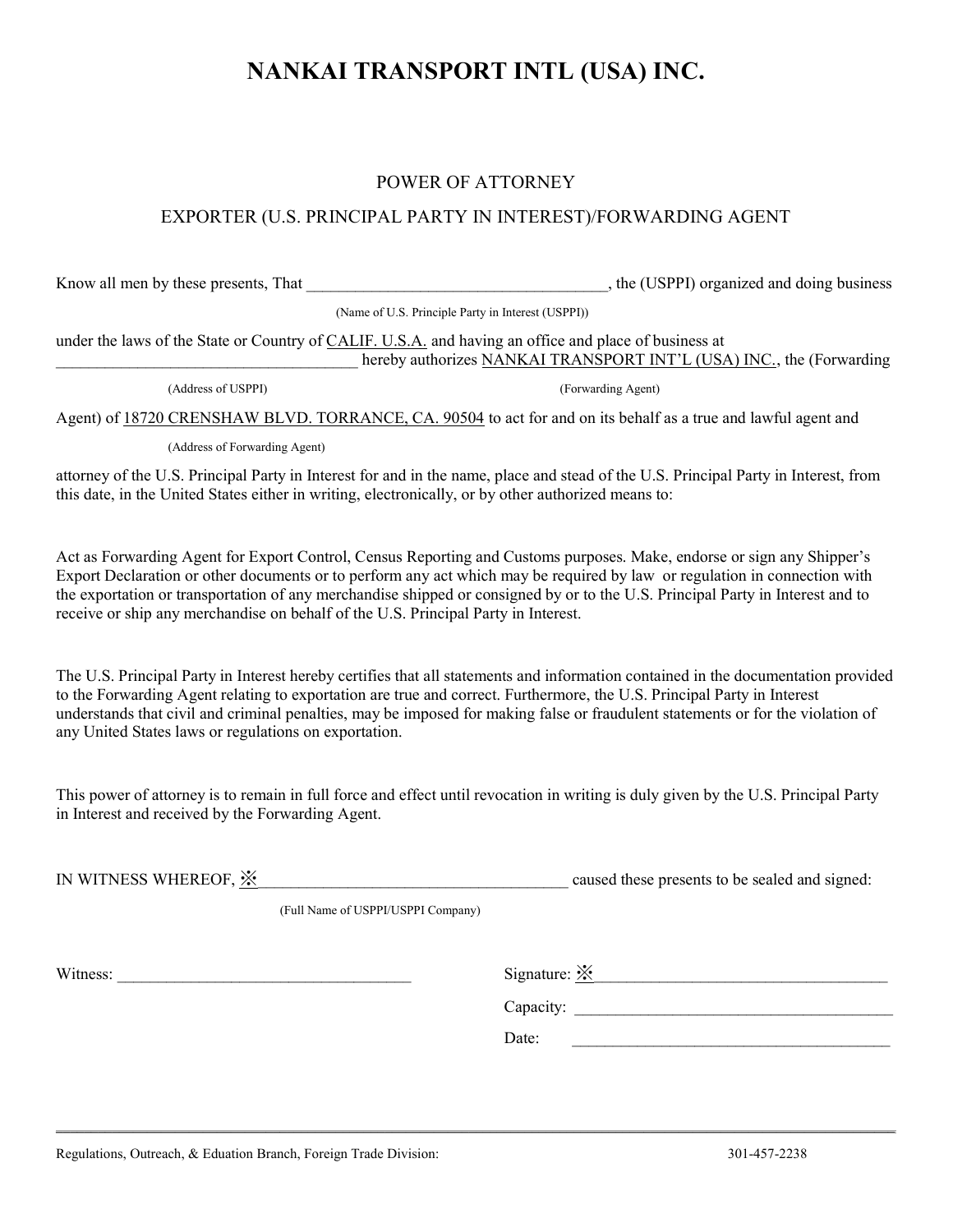# NANKAI TRANSPORT INTL (USA) INC.

### POWER OF ATTORNEY

### EXPORTER (U.S. PRINCIPAL PARTY IN INTEREST)/FORWARDING AGENT

Know all men by these presents, That  $\qquad \qquad$ , the (USPPI) organized and doing business

(Name of U.S. Principle Party in Interest (USPPI))

under the laws of the State or Country of CALIF. U.S.A. and having an office and place of business at hereby authorizes NANKAI TRANSPORT INT'L (USA) INC., the (Forwarding

(Address of USPPI) (Forwarding Agent)

Agent) of 18720 CRENSHAW BLVD. TORRANCE, CA. 90504 to act for and on its behalf as a true and lawful agent and

(Address of Forwarding Agent)

attorney of the U.S. Principal Party in Interest for and in the name, place and stead of the U.S. Principal Party in Interest, from this date, in the United States either in writing, electronically, or by other authorized means to:

Act as Forwarding Agent for Export Control, Census Reporting and Customs purposes. Make, endorse or sign any Shipper's Export Declaration or other documents or to perform any act which may be required by law or regulation in connection with the exportation or transportation of any merchandise shipped or consigned by or to the U.S. Principal Party in Interest and to receive or ship any merchandise on behalf of the U.S. Principal Party in Interest.

The U.S. Principal Party in Interest hereby certifies that all statements and information contained in the documentation provided to the Forwarding Agent relating to exportation are true and correct. Furthermore, the U.S. Principal Party in Interest understands that civil and criminal penalties, may be imposed for making false or fraudulent statements or for the violation of any United States laws or regulations on exportation.

This power of attorney is to remain in full force and effect until revocation in writing is duly given by the U.S. Principal Party in Interest and received by the Forwarding Agent.

| IN WITNESS WHEREOF, $\mathbb{\mathbb{X}}$ |                                    | caused these presents to be sealed and signed: |
|-------------------------------------------|------------------------------------|------------------------------------------------|
|                                           | (Full Name of USPPI/USPPI Company) |                                                |
|                                           |                                    |                                                |

 $\mathcal{L}_\mathcal{L} = \{ \mathcal{L}_\mathcal{L} = \{ \mathcal{L}_\mathcal{L} = \{ \mathcal{L}_\mathcal{L} = \{ \mathcal{L}_\mathcal{L} = \{ \mathcal{L}_\mathcal{L} = \{ \mathcal{L}_\mathcal{L} = \{ \mathcal{L}_\mathcal{L} = \{ \mathcal{L}_\mathcal{L} = \{ \mathcal{L}_\mathcal{L} = \{ \mathcal{L}_\mathcal{L} = \{ \mathcal{L}_\mathcal{L} = \{ \mathcal{L}_\mathcal{L} = \{ \mathcal{L}_\mathcal{L} = \{ \mathcal{L}_\mathcal{$ 

Witness:  $\Box$ 

Capacity:

Date: \_\_\_\_\_\_\_\_\_\_\_\_\_\_\_\_\_\_\_\_\_\_\_\_\_\_\_\_\_\_\_\_\_\_\_\_\_\_\_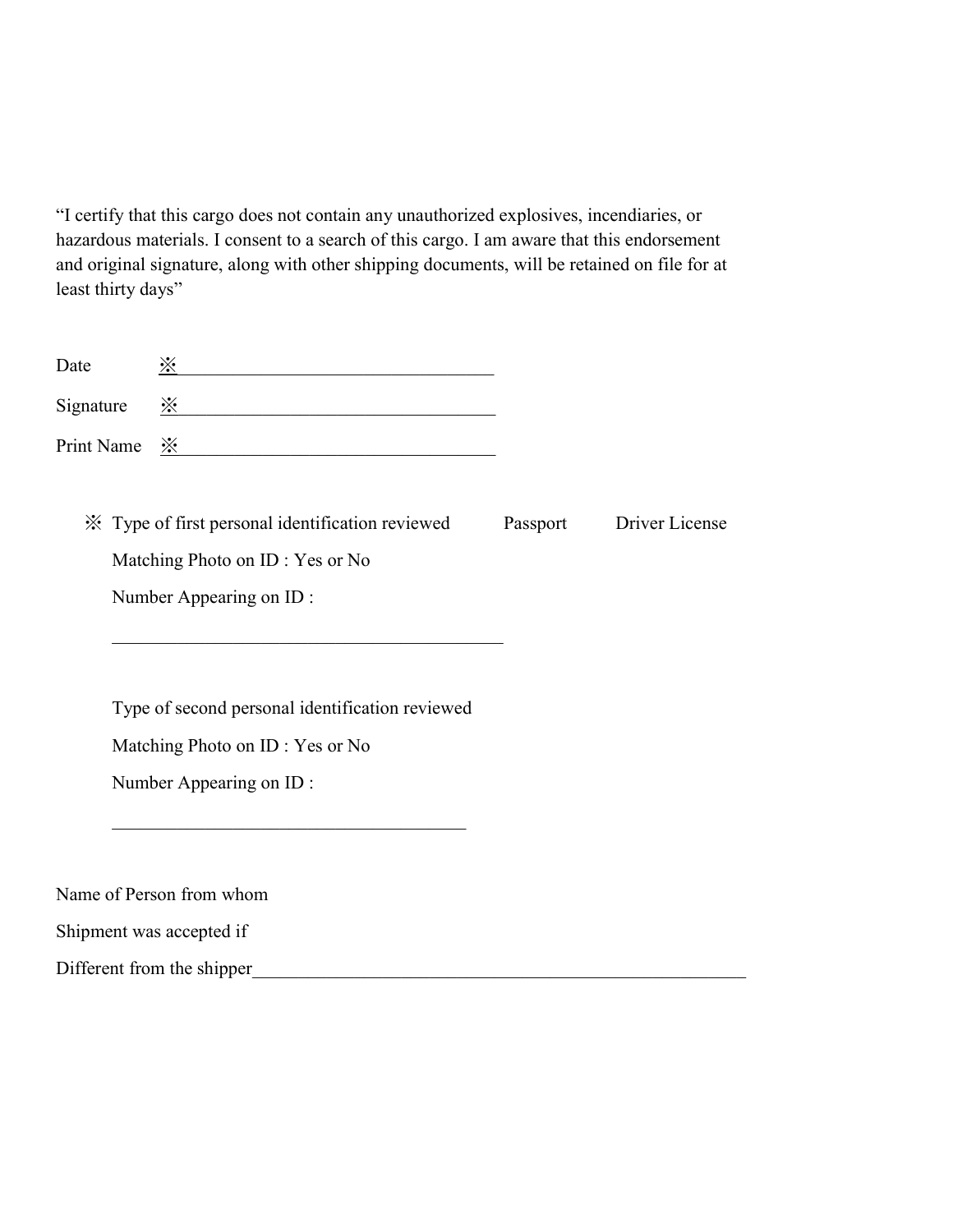"I certify that this cargo does not contain any unauthorized explosives, incendiaries, or hazardous materials. I consent to a search of this cargo. I am aware that this endorsement and original signature, along with other shipping documents, will be retained on file for at least thirty days"

| Date                     | $\frac{1}{2}$                                                                                                                                                                                                                                                                                                       |          |                |
|--------------------------|---------------------------------------------------------------------------------------------------------------------------------------------------------------------------------------------------------------------------------------------------------------------------------------------------------------------|----------|----------------|
| Signature                | $\frac{1}{2}$ $\frac{1}{2}$ $\frac{1}{2}$ $\frac{1}{2}$ $\frac{1}{2}$ $\frac{1}{2}$ $\frac{1}{2}$ $\frac{1}{2}$ $\frac{1}{2}$ $\frac{1}{2}$ $\frac{1}{2}$ $\frac{1}{2}$ $\frac{1}{2}$ $\frac{1}{2}$ $\frac{1}{2}$ $\frac{1}{2}$ $\frac{1}{2}$ $\frac{1}{2}$ $\frac{1}{2}$ $\frac{1}{2}$ $\frac{1}{2}$ $\frac{1}{2}$ |          |                |
|                          | Print Name $\frac{\cdot \times}{\cdot \times}$                                                                                                                                                                                                                                                                      |          |                |
|                          | X Type of first personal identification reviewed<br>Matching Photo on ID: Yes or No<br>Number Appearing on ID:<br>the control of the control of the control of the control of the control of the control of                                                                                                         | Passport | Driver License |
|                          | Type of second personal identification reviewed<br>Matching Photo on ID: Yes or No<br>Number Appearing on ID:                                                                                                                                                                                                       |          |                |
| Shipment was accepted if | Name of Person from whom                                                                                                                                                                                                                                                                                            |          |                |
|                          | Different from the shipper                                                                                                                                                                                                                                                                                          |          |                |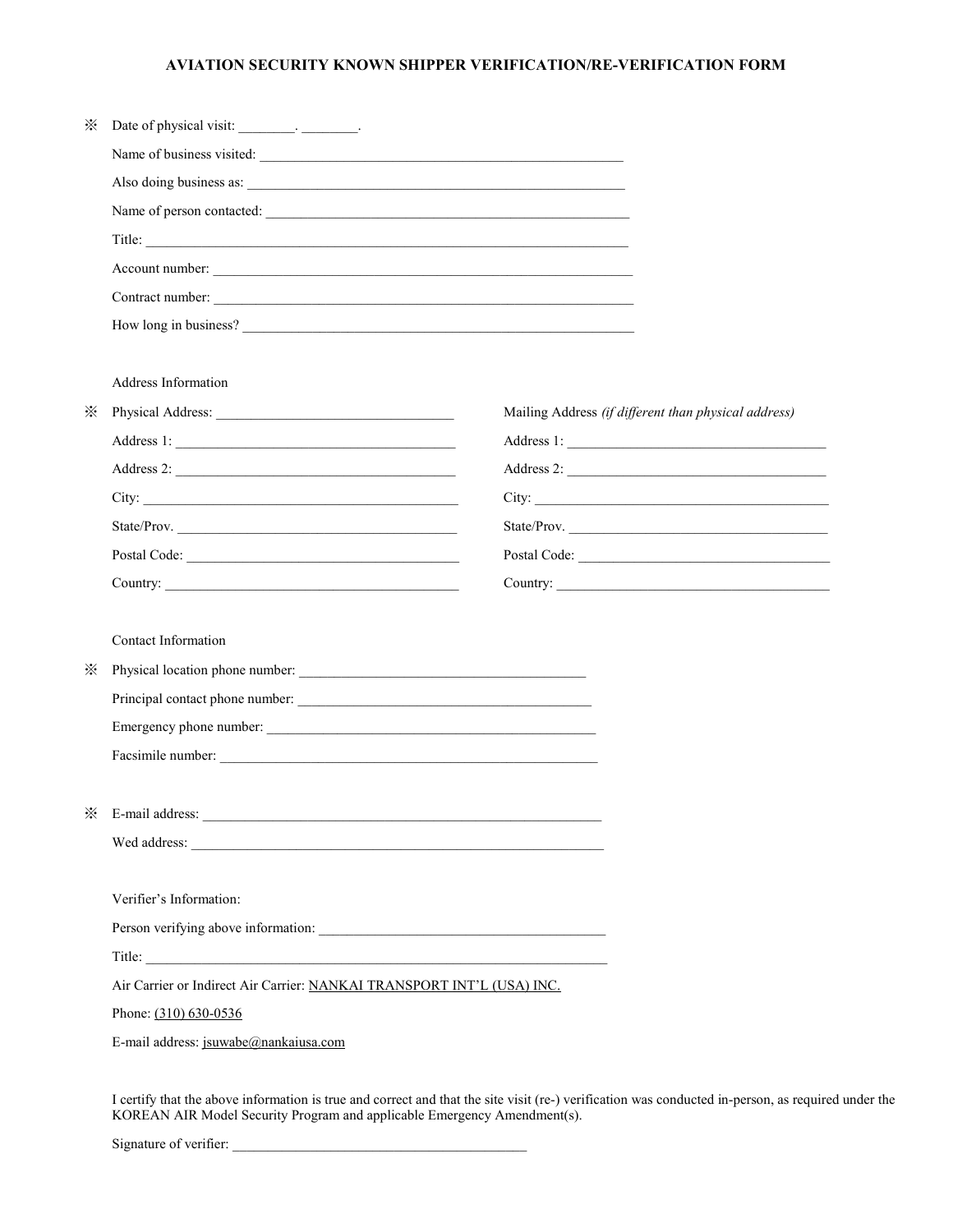#### AVIATION SECURITY KNOWN SHIPPER VERIFICATION/RE-VERIFICATION FORM

| ⋇        |                                                                        |                                                      |
|----------|------------------------------------------------------------------------|------------------------------------------------------|
|          | Name of business visited:                                              |                                                      |
|          | Also doing business as:                                                |                                                      |
|          | Name of person contacted:                                              |                                                      |
|          | Title:                                                                 |                                                      |
|          |                                                                        |                                                      |
|          | Contract number:                                                       |                                                      |
|          | How long in business?                                                  |                                                      |
|          |                                                                        |                                                      |
|          | Address Information                                                    |                                                      |
| $\times$ |                                                                        | Mailing Address (if different than physical address) |
|          |                                                                        |                                                      |
|          |                                                                        |                                                      |
|          |                                                                        |                                                      |
|          | State/Prov.                                                            | State/Prov.                                          |
|          |                                                                        |                                                      |
|          |                                                                        | Country:                                             |
|          |                                                                        |                                                      |
|          | Contact Information                                                    |                                                      |
| $\cdot$  |                                                                        |                                                      |
|          | Principal contact phone number:                                        |                                                      |
|          | Emergency phone number:                                                |                                                      |
|          |                                                                        |                                                      |
|          |                                                                        |                                                      |
|          |                                                                        |                                                      |
|          |                                                                        |                                                      |
|          |                                                                        |                                                      |
|          | Verifier's Information:                                                |                                                      |
|          |                                                                        |                                                      |
|          |                                                                        |                                                      |
|          | Air Carrier or Indirect Air Carrier: NANKAI TRANSPORT INT'L (USA) INC. |                                                      |
|          | Phone: (310) 630-0536                                                  |                                                      |
|          | E-mail address: jsuwabe@nankaiusa.com                                  |                                                      |
|          |                                                                        |                                                      |

I certify that the above information is true and correct and that the site visit (re-) verification was conducted in-person, as required under the KOREAN AIR Model Security Program and applicable Emergency Amendment(s).

Signature of verifier: